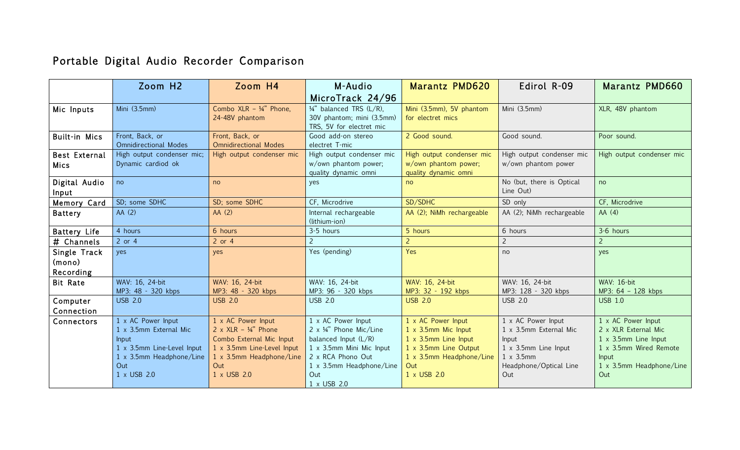## Portable Digital Audio Recorder Comparison

|                                     | Zoom H2                                                                                                                               | Zoom H4                                                                                                                                                         | M-Audio                                                                                                                                                                               | Marantz PMD620                                                                                                                                               | Edirol R-09                                                                                                                         | Marantz PMD660                                                                                                                                   |
|-------------------------------------|---------------------------------------------------------------------------------------------------------------------------------------|-----------------------------------------------------------------------------------------------------------------------------------------------------------------|---------------------------------------------------------------------------------------------------------------------------------------------------------------------------------------|--------------------------------------------------------------------------------------------------------------------------------------------------------------|-------------------------------------------------------------------------------------------------------------------------------------|--------------------------------------------------------------------------------------------------------------------------------------------------|
|                                     |                                                                                                                                       |                                                                                                                                                                 | MicroTrack 24/96                                                                                                                                                                      |                                                                                                                                                              |                                                                                                                                     |                                                                                                                                                  |
| Mic Inputs                          | Mini (3.5mm)                                                                                                                          | Combo XLR - 1/4" Phone,<br>24-48V phantom                                                                                                                       | $\frac{1}{4}$ " balanced TRS (L/R),<br>30V phantom; mini (3.5mm)<br>TRS, 5V for electret mic                                                                                          | Mini (3.5mm), 5V phantom<br>for electret mics                                                                                                                | Mini (3.5mm)                                                                                                                        | XLR, 48V phantom                                                                                                                                 |
| <b>Built-in Mics</b>                | Front, Back, or<br><b>Omnidirectional Modes</b>                                                                                       | Front, Back, or<br><b>Omnidirectional Modes</b>                                                                                                                 | Good add-on stereo<br>electret T-mic                                                                                                                                                  | 2 Good sound.                                                                                                                                                | Good sound.                                                                                                                         | Poor sound.                                                                                                                                      |
| <b>Best External</b><br><b>Mics</b> | High output condenser mic;<br>Dynamic cardiod ok                                                                                      | High output condenser mic                                                                                                                                       | High output condenser mic<br>w/own phantom power;<br>quality dynamic omni                                                                                                             | High output condenser mic<br>w/own phantom power;<br>quality dynamic omni                                                                                    | High output condenser mic<br>w/own phantom power                                                                                    | High output condenser mic                                                                                                                        |
| Digital Audio<br>Input              | no                                                                                                                                    | no                                                                                                                                                              | yes                                                                                                                                                                                   | no                                                                                                                                                           | No (but, there is Optical<br>Line Out)                                                                                              | no                                                                                                                                               |
| Memory Card                         | SD; some SDHC                                                                                                                         | SD; some SDHC                                                                                                                                                   | CF, Microdrive                                                                                                                                                                        | SD/SDHC                                                                                                                                                      | SD only                                                                                                                             | CF, Microdrive                                                                                                                                   |
| <b>Battery</b>                      | AA (2)                                                                                                                                | AA(2)                                                                                                                                                           | Internal rechargeable<br>(lithium-ion)                                                                                                                                                | AA (2); NiMh rechargeable                                                                                                                                    | AA (2); NiMh rechargeable                                                                                                           | AA(4)                                                                                                                                            |
| <b>Battery Life</b>                 | 4 hours                                                                                                                               | 6 hours                                                                                                                                                         | 3-5 hours                                                                                                                                                                             | 5 hours                                                                                                                                                      | 6 hours                                                                                                                             | 3-6 hours                                                                                                                                        |
| # Channels                          | $2$ or $4$                                                                                                                            | $2$ or $4$                                                                                                                                                      |                                                                                                                                                                                       | $\overline{2}$                                                                                                                                               | $\overline{2}$                                                                                                                      | 2                                                                                                                                                |
| Single Track<br>(mono)<br>Recording | yes                                                                                                                                   | yes                                                                                                                                                             | Yes (pending)                                                                                                                                                                         | Yes                                                                                                                                                          | no                                                                                                                                  | yes                                                                                                                                              |
| <b>Bit Rate</b>                     | WAV: 16, 24-bit<br>MP3: 48 - 320 kbps                                                                                                 | WAV: 16, 24-bit<br>MP3: 48 - 320 kbps                                                                                                                           | WAV: 16, 24-bit<br>MP3: 96 - 320 kbps                                                                                                                                                 | WAV: 16, 24-bit<br>MP3: 32 - 192 kbps                                                                                                                        | WAV: 16, 24-bit<br>MP3: 128 - 320 kbps                                                                                              | <b>WAV: 16-bit</b><br>MP3: 64 - 128 kbps                                                                                                         |
| Computer<br>Connection              | <b>USB 2.0</b>                                                                                                                        | <b>USB 2.0</b>                                                                                                                                                  | <b>USB 2.0</b>                                                                                                                                                                        | <b>USB 2.0</b>                                                                                                                                               | <b>USB 2.0</b>                                                                                                                      | <b>USB 1.0</b>                                                                                                                                   |
| Connectors                          | 1 x AC Power Input<br>1 x 3.5mm External Mic<br>Input<br>1 x 3.5mm Line-Level Input<br>1 x 3.5mm Headphone/Line<br>Out<br>1 x USB 2.0 | 1 x AC Power Input<br>2 x $XLR - \frac{1}{4}$ Phone<br>Combo External Mic Input<br>1 x 3.5mm Line-Level Input<br>1 x 3.5mm Headphone/Line<br>Out<br>1 x USB 2.0 | 1 x AC Power Input<br>2 x $\frac{1}{4}$ " Phone Mic/Line<br>balanced Input $(L/R)$<br>1 x 3.5mm Mini Mic Input<br>2 x RCA Phono Out<br>1 x 3.5mm Headphone/Line<br>Out<br>1 x USB 2.0 | 1 x AC Power Input<br>$1 \times 3.5$ mm Mic Input<br>$1 \times 3.5$ mm Line Input<br>1 x 3.5mm Line Output<br>1 x 3.5mm Headphone/Line<br>Out<br>1 x USB 2.0 | 1 x AC Power Input<br>1 x 3.5mm External Mic<br>Input<br>1 x 3.5mm Line Input<br>$1 \times 3.5$ mm<br>Headphone/Optical Line<br>Out | 1 x AC Power Input<br>2 x XLR External Mic<br>$1 \times 3.5$ mm Line Input<br>1 x 3.5mm Wired Remote<br>Input<br>1 x 3.5mm Headphone/Line<br>Out |